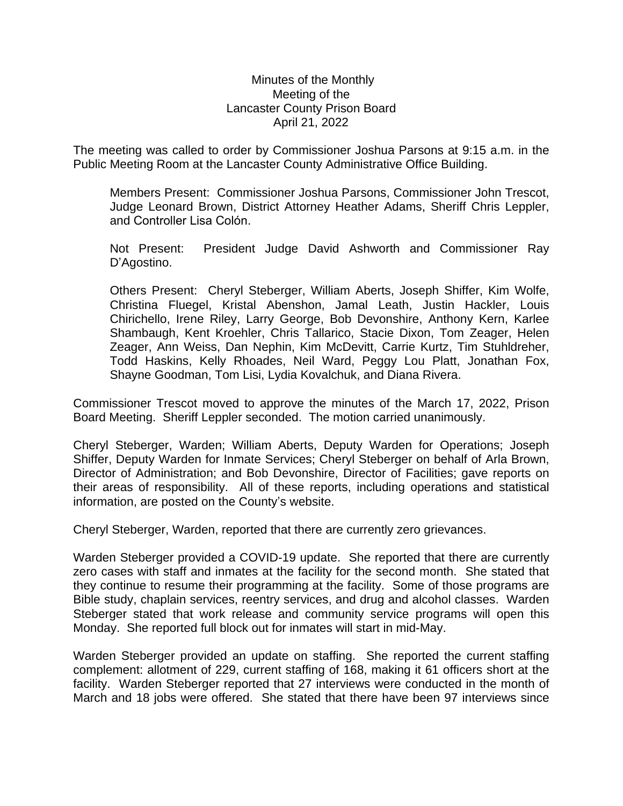## Minutes of the Monthly Meeting of the Lancaster County Prison Board April 21, 2022

The meeting was called to order by Commissioner Joshua Parsons at 9:15 a.m. in the Public Meeting Room at the Lancaster County Administrative Office Building.

Members Present: Commissioner Joshua Parsons, Commissioner John Trescot, Judge Leonard Brown, District Attorney Heather Adams, Sheriff Chris Leppler, and Controller Lisa Colón.

Not Present: President Judge David Ashworth and Commissioner Ray D'Agostino.

Others Present: Cheryl Steberger, William Aberts, Joseph Shiffer, Kim Wolfe, Christina Fluegel, Kristal Abenshon, Jamal Leath, Justin Hackler, Louis Chirichello, Irene Riley, Larry George, Bob Devonshire, Anthony Kern, Karlee Shambaugh, Kent Kroehler, Chris Tallarico, Stacie Dixon, Tom Zeager, Helen Zeager, Ann Weiss, Dan Nephin, Kim McDevitt, Carrie Kurtz, Tim Stuhldreher, Todd Haskins, Kelly Rhoades, Neil Ward, Peggy Lou Platt, Jonathan Fox, Shayne Goodman, Tom Lisi, Lydia Kovalchuk, and Diana Rivera.

Commissioner Trescot moved to approve the minutes of the March 17, 2022, Prison Board Meeting. Sheriff Leppler seconded. The motion carried unanimously.

Cheryl Steberger, Warden; William Aberts, Deputy Warden for Operations; Joseph Shiffer, Deputy Warden for Inmate Services; Cheryl Steberger on behalf of Arla Brown, Director of Administration; and Bob Devonshire, Director of Facilities; gave reports on their areas of responsibility. All of these reports, including operations and statistical information, are posted on the County's website.

Cheryl Steberger, Warden, reported that there are currently zero grievances.

Warden Steberger provided a COVID-19 update. She reported that there are currently zero cases with staff and inmates at the facility for the second month. She stated that they continue to resume their programming at the facility. Some of those programs are Bible study, chaplain services, reentry services, and drug and alcohol classes. Warden Steberger stated that work release and community service programs will open this Monday. She reported full block out for inmates will start in mid-May.

Warden Steberger provided an update on staffing. She reported the current staffing complement: allotment of 229, current staffing of 168, making it 61 officers short at the facility. Warden Steberger reported that 27 interviews were conducted in the month of March and 18 jobs were offered. She stated that there have been 97 interviews since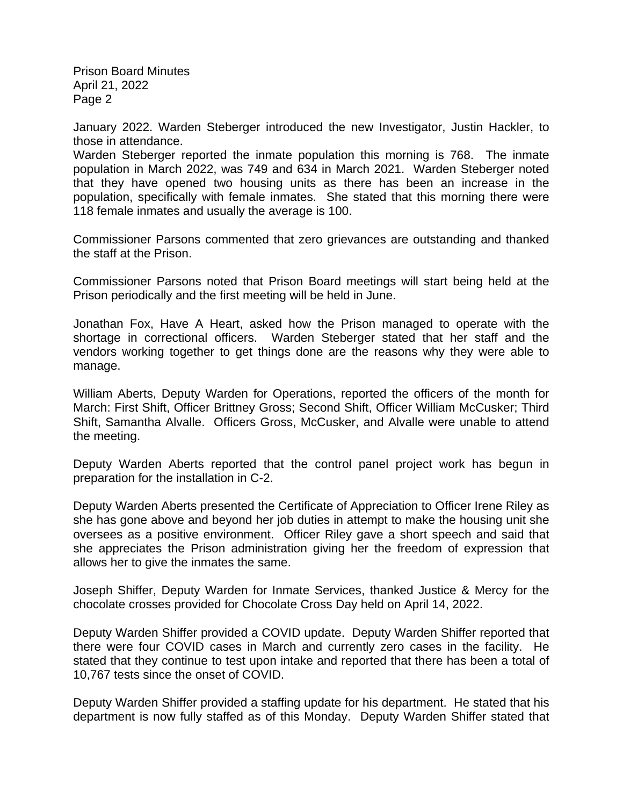January 2022. Warden Steberger introduced the new Investigator, Justin Hackler, to those in attendance.

Warden Steberger reported the inmate population this morning is 768. The inmate population in March 2022, was 749 and 634 in March 2021. Warden Steberger noted that they have opened two housing units as there has been an increase in the population, specifically with female inmates. She stated that this morning there were 118 female inmates and usually the average is 100.

Commissioner Parsons commented that zero grievances are outstanding and thanked the staff at the Prison.

Commissioner Parsons noted that Prison Board meetings will start being held at the Prison periodically and the first meeting will be held in June.

Jonathan Fox, Have A Heart, asked how the Prison managed to operate with the shortage in correctional officers. Warden Steberger stated that her staff and the vendors working together to get things done are the reasons why they were able to manage.

William Aberts, Deputy Warden for Operations, reported the officers of the month for March: First Shift, Officer Brittney Gross; Second Shift, Officer William McCusker; Third Shift, Samantha Alvalle. Officers Gross, McCusker, and Alvalle were unable to attend the meeting.

Deputy Warden Aberts reported that the control panel project work has begun in preparation for the installation in C-2.

Deputy Warden Aberts presented the Certificate of Appreciation to Officer Irene Riley as she has gone above and beyond her job duties in attempt to make the housing unit she oversees as a positive environment. Officer Riley gave a short speech and said that she appreciates the Prison administration giving her the freedom of expression that allows her to give the inmates the same.

Joseph Shiffer, Deputy Warden for Inmate Services, thanked Justice & Mercy for the chocolate crosses provided for Chocolate Cross Day held on April 14, 2022.

Deputy Warden Shiffer provided a COVID update. Deputy Warden Shiffer reported that there were four COVID cases in March and currently zero cases in the facility. He stated that they continue to test upon intake and reported that there has been a total of 10,767 tests since the onset of COVID.

Deputy Warden Shiffer provided a staffing update for his department. He stated that his department is now fully staffed as of this Monday. Deputy Warden Shiffer stated that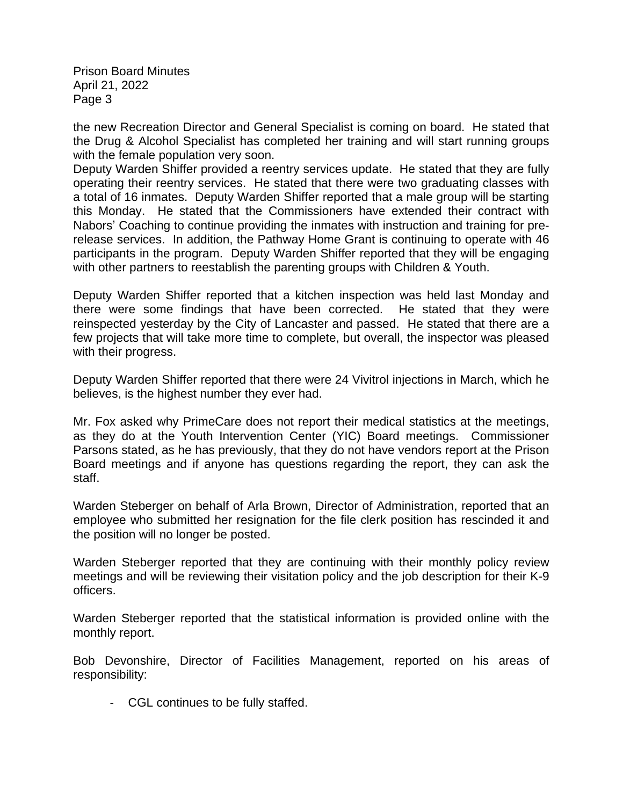the new Recreation Director and General Specialist is coming on board. He stated that the Drug & Alcohol Specialist has completed her training and will start running groups with the female population very soon.

Deputy Warden Shiffer provided a reentry services update. He stated that they are fully operating their reentry services. He stated that there were two graduating classes with a total of 16 inmates. Deputy Warden Shiffer reported that a male group will be starting this Monday. He stated that the Commissioners have extended their contract with Nabors' Coaching to continue providing the inmates with instruction and training for prerelease services. In addition, the Pathway Home Grant is continuing to operate with 46 participants in the program. Deputy Warden Shiffer reported that they will be engaging with other partners to reestablish the parenting groups with Children & Youth.

Deputy Warden Shiffer reported that a kitchen inspection was held last Monday and there were some findings that have been corrected. He stated that they were reinspected yesterday by the City of Lancaster and passed. He stated that there are a few projects that will take more time to complete, but overall, the inspector was pleased with their progress.

Deputy Warden Shiffer reported that there were 24 Vivitrol injections in March, which he believes, is the highest number they ever had.

Mr. Fox asked why PrimeCare does not report their medical statistics at the meetings, as they do at the Youth Intervention Center (YIC) Board meetings. Commissioner Parsons stated, as he has previously, that they do not have vendors report at the Prison Board meetings and if anyone has questions regarding the report, they can ask the staff.

Warden Steberger on behalf of Arla Brown, Director of Administration, reported that an employee who submitted her resignation for the file clerk position has rescinded it and the position will no longer be posted.

Warden Steberger reported that they are continuing with their monthly policy review meetings and will be reviewing their visitation policy and the job description for their K-9 officers.

Warden Steberger reported that the statistical information is provided online with the monthly report.

Bob Devonshire, Director of Facilities Management, reported on his areas of responsibility:

- CGL continues to be fully staffed.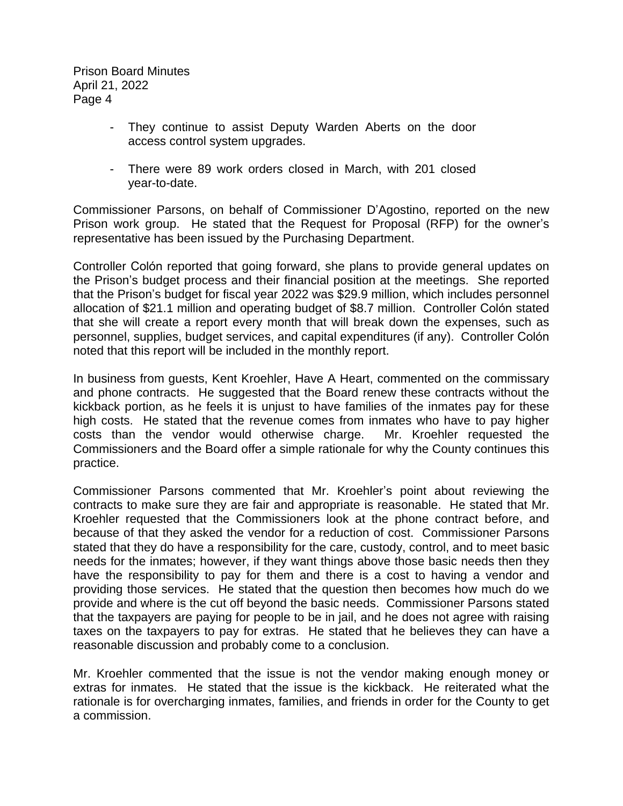- They continue to assist Deputy Warden Aberts on the door access control system upgrades.
- There were 89 work orders closed in March, with 201 closed year-to-date.

Commissioner Parsons, on behalf of Commissioner D'Agostino, reported on the new Prison work group. He stated that the Request for Proposal (RFP) for the owner's representative has been issued by the Purchasing Department.

Controller Colón reported that going forward, she plans to provide general updates on the Prison's budget process and their financial position at the meetings. She reported that the Prison's budget for fiscal year 2022 was \$29.9 million, which includes personnel allocation of \$21.1 million and operating budget of \$8.7 million. Controller Colón stated that she will create a report every month that will break down the expenses, such as personnel, supplies, budget services, and capital expenditures (if any). Controller Colón noted that this report will be included in the monthly report.

In business from guests, Kent Kroehler, Have A Heart, commented on the commissary and phone contracts. He suggested that the Board renew these contracts without the kickback portion, as he feels it is unjust to have families of the inmates pay for these high costs. He stated that the revenue comes from inmates who have to pay higher costs than the vendor would otherwise charge. Mr. Kroehler requested the Commissioners and the Board offer a simple rationale for why the County continues this practice.

Commissioner Parsons commented that Mr. Kroehler's point about reviewing the contracts to make sure they are fair and appropriate is reasonable. He stated that Mr. Kroehler requested that the Commissioners look at the phone contract before, and because of that they asked the vendor for a reduction of cost. Commissioner Parsons stated that they do have a responsibility for the care, custody, control, and to meet basic needs for the inmates; however, if they want things above those basic needs then they have the responsibility to pay for them and there is a cost to having a vendor and providing those services. He stated that the question then becomes how much do we provide and where is the cut off beyond the basic needs. Commissioner Parsons stated that the taxpayers are paying for people to be in jail, and he does not agree with raising taxes on the taxpayers to pay for extras. He stated that he believes they can have a reasonable discussion and probably come to a conclusion.

Mr. Kroehler commented that the issue is not the vendor making enough money or extras for inmates. He stated that the issue is the kickback. He reiterated what the rationale is for overcharging inmates, families, and friends in order for the County to get a commission.